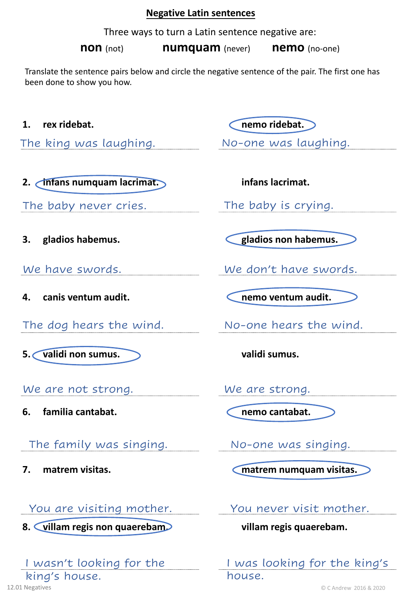### **Negative Latin sentences**

Three ways to turn a Latin sentence negative are:

**non** (not) **numquam** (never) **nemo** (no-one)

Translate the sentence pairs below and circle the negative sentence of the pair. The first one has been done to show you how.

The king was laughing. No-one was laughing.

**2. infans numquam lacrimat. infans lacrimat.** 

The baby never cries. The baby is crying.

- **4. canis ventum audit. nemo ventum audit.**
- The dog hears the wind. No-one hears the wind.
- **5. validi non sumus. validi sumus.**

We are not strong. We are strong.

**6. familia cantabat. nemo cantabat.**

The family was singing. No-one was singing.

# You are visiting mother. You never visit mother.

**8. villam regis non quaerebam. villam regis quaerebam.**

# I wasn't looking for the king's house.

**1. rex ridebat. nemo ridebat.**

**3. gladios habemus. gladios non habemus.**

We have swords. We don't have swords.

**7. matrem visitas. matrem numquam visitas.**

I was looking for the king's house.